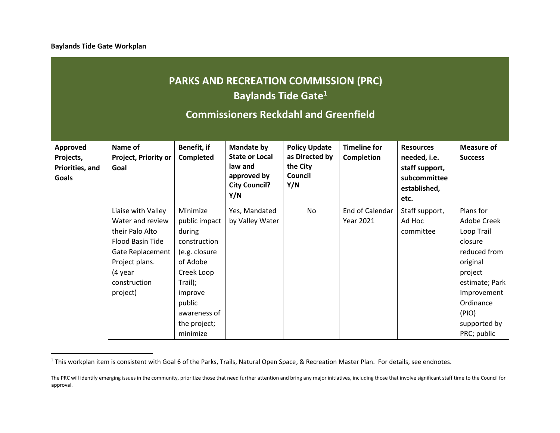**Baylands Tide Gate Workplan**

# **PARKS AND RECREATION COMMISSION (PRC) Baylands Tide Gate<sup>1</sup>**

## **Commissioners Reckdahl and Greenfield**

| Approved<br>Projects,<br>Priorities, and<br><b>Goals</b> | Name of<br>Project, Priority or<br>Goal                                                                                                                    | Benefit, if<br><b>Completed</b>                                                                                                | <b>Mandate by</b><br><b>State or Local</b><br>law and<br>approved by<br><b>City Council?</b><br>Y/N | <b>Policy Update</b><br>as Directed by<br>the City<br>Council<br>Y/N | <b>Timeline for</b><br>Completion   | <b>Resources</b><br>needed, i.e.<br>staff support,<br>subcommittee<br>established,<br>etc. | <b>Measure of</b><br><b>Success</b>                                                                                                    |
|----------------------------------------------------------|------------------------------------------------------------------------------------------------------------------------------------------------------------|--------------------------------------------------------------------------------------------------------------------------------|-----------------------------------------------------------------------------------------------------|----------------------------------------------------------------------|-------------------------------------|--------------------------------------------------------------------------------------------|----------------------------------------------------------------------------------------------------------------------------------------|
|                                                          | Liaise with Valley<br>Water and review<br>their Palo Alto<br>Flood Basin Tide<br>Gate Replacement<br>Project plans.<br>(4 year<br>construction<br>project) | Minimize<br>public impact<br>during<br>construction<br>(e.g. closure<br>of Adobe<br>Creek Loop<br>Trail);<br>improve<br>public | Yes, Mandated<br>by Valley Water                                                                    | No                                                                   | End of Calendar<br><b>Year 2021</b> | Staff support,<br>Ad Hoc<br>committee                                                      | Plans for<br>Adobe Creek<br>Loop Trail<br>closure<br>reduced from<br>original<br>project<br>estimate; Park<br>Improvement<br>Ordinance |
|                                                          |                                                                                                                                                            | awareness of<br>the project;<br>minimize                                                                                       |                                                                                                     |                                                                      |                                     |                                                                                            | (PIO)<br>supported by<br>PRC; public                                                                                                   |

<sup>&</sup>lt;sup>1</sup> This workplan item is consistent with Goal 6 of the Parks, Trails, Natural Open Space, & Recreation Master Plan. For details, see endnotes.

The PRC will identify emerging issues in the community, prioritize those that need further attention and bring any major initiatives, including those that involve significant staff time to the Council for approval.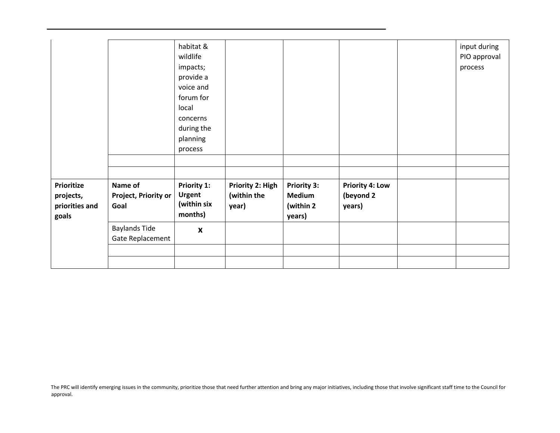|                                                    |                                          | habitat &<br>wildlife<br>impacts;<br>provide a<br>voice and<br>forum for<br>local<br>concerns<br>during the<br>planning<br>process |                                          |                                                             |                                               | input during<br>PIO approval<br>process |
|----------------------------------------------------|------------------------------------------|------------------------------------------------------------------------------------------------------------------------------------|------------------------------------------|-------------------------------------------------------------|-----------------------------------------------|-----------------------------------------|
| Prioritize<br>projects,<br>priorities and<br>goals | Name of<br>Project, Priority or<br>Goal  | Priority 1:<br><b>Urgent</b><br>(within six<br>months)                                                                             | Priority 2: High<br>(within the<br>year) | <b>Priority 3:</b><br><b>Medium</b><br>(within 2)<br>years) | <b>Priority 4: Low</b><br>(beyond 2<br>years) |                                         |
|                                                    | <b>Baylands Tide</b><br>Gate Replacement | $\boldsymbol{x}$                                                                                                                   |                                          |                                                             |                                               |                                         |
|                                                    |                                          |                                                                                                                                    |                                          |                                                             |                                               |                                         |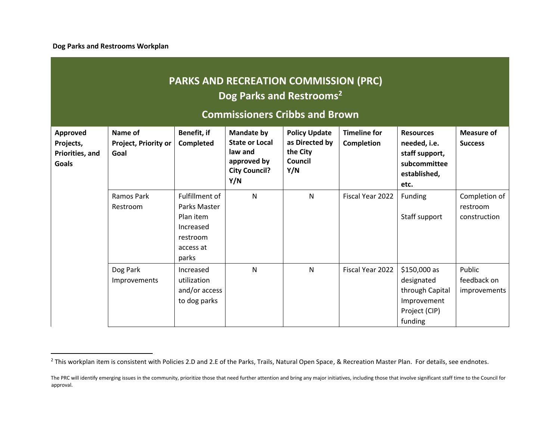**Dog Parks and Restrooms Workplan**

# **PARKS AND RECREATION COMMISSION (PRC) Dog Parks and Restrooms<sup>2</sup>**

## **Commissioners Cribbs and Brown**

| Approved<br>Projects,<br>Priorities, and<br>Goals | Name of<br><b>Project, Priority or</b><br>Goal | Benefit, if<br><b>Completed</b>                                                            | <b>Mandate by</b><br><b>State or Local</b><br>law and<br>approved by<br><b>City Council?</b><br>Y/N | <b>Policy Update</b><br>as Directed by<br>the City<br>Council<br>Y/N | <b>Timeline for</b><br>Completion | <b>Resources</b><br>needed, i.e.<br>staff support,<br>subcommittee<br>established,<br>etc. | <b>Measure of</b><br><b>Success</b>       |
|---------------------------------------------------|------------------------------------------------|--------------------------------------------------------------------------------------------|-----------------------------------------------------------------------------------------------------|----------------------------------------------------------------------|-----------------------------------|--------------------------------------------------------------------------------------------|-------------------------------------------|
|                                                   | Ramos Park<br>Restroom                         | Fulfillment of<br>Parks Master<br>Plan item<br>Increased<br>restroom<br>access at<br>parks | $\mathsf{N}$                                                                                        | $\mathsf{N}$                                                         | Fiscal Year 2022                  | Funding<br>Staff support                                                                   | Completion of<br>restroom<br>construction |
|                                                   | Dog Park<br>Improvements                       | Increased<br>utilization<br>and/or access<br>to dog parks                                  | $\mathsf{N}$                                                                                        | $\mathsf{N}$                                                         | Fiscal Year 2022                  | \$150,000 as<br>designated<br>through Capital<br>Improvement<br>Project (CIP)<br>funding   | Public<br>feedback on<br>improvements     |

<sup>&</sup>lt;sup>2</sup> This workplan item is consistent with Policies 2.D and 2.E of the Parks, Trails, Natural Open Space, & Recreation Master Plan. For details, see endnotes.

The PRC will identify emerging issues in the community, prioritize those that need further attention and bring any major initiatives, including those that involve significant staff time to the Council for approval.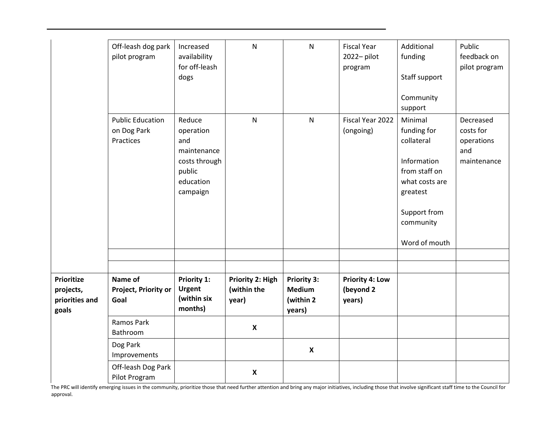|                                                           | Off-leash dog park<br>pilot program                 | Increased<br>availability<br>for off-leash<br>dogs                                            | ${\sf N}$                                | $\mathsf{N}$                                                | <b>Fiscal Year</b><br>2022-pilot<br>program   | Additional<br>funding<br>Staff support<br>Community<br>support                                                                                   | Public<br>feedback on<br>pilot program                     |
|-----------------------------------------------------------|-----------------------------------------------------|-----------------------------------------------------------------------------------------------|------------------------------------------|-------------------------------------------------------------|-----------------------------------------------|--------------------------------------------------------------------------------------------------------------------------------------------------|------------------------------------------------------------|
|                                                           | <b>Public Education</b><br>on Dog Park<br>Practices | Reduce<br>operation<br>and<br>maintenance<br>costs through<br>public<br>education<br>campaign | ${\sf N}$                                | $\mathsf{N}$                                                | Fiscal Year 2022<br>(ongoing)                 | Minimal<br>funding for<br>collateral<br>Information<br>from staff on<br>what costs are<br>greatest<br>Support from<br>community<br>Word of mouth | Decreased<br>costs for<br>operations<br>and<br>maintenance |
|                                                           |                                                     |                                                                                               |                                          |                                                             |                                               |                                                                                                                                                  |                                                            |
| <b>Prioritize</b><br>projects,<br>priorities and<br>goals | Name of<br>Project, Priority or<br>Goal             | <b>Priority 1:</b><br><b>Urgent</b><br>(within six<br>months)                                 | Priority 2: High<br>(within the<br>year) | <b>Priority 3:</b><br><b>Medium</b><br>(within 2)<br>years) | <b>Priority 4: Low</b><br>(beyond 2<br>years) |                                                                                                                                                  |                                                            |
|                                                           | Ramos Park<br>Bathroom                              |                                                                                               | $\boldsymbol{\mathsf{X}}$                |                                                             |                                               |                                                                                                                                                  |                                                            |
|                                                           | Dog Park<br>Improvements                            |                                                                                               |                                          | $\boldsymbol{\mathsf{X}}$                                   |                                               |                                                                                                                                                  |                                                            |
|                                                           | Off-leash Dog Park<br>Pilot Program                 |                                                                                               | $\boldsymbol{\mathsf{X}}$                |                                                             |                                               |                                                                                                                                                  |                                                            |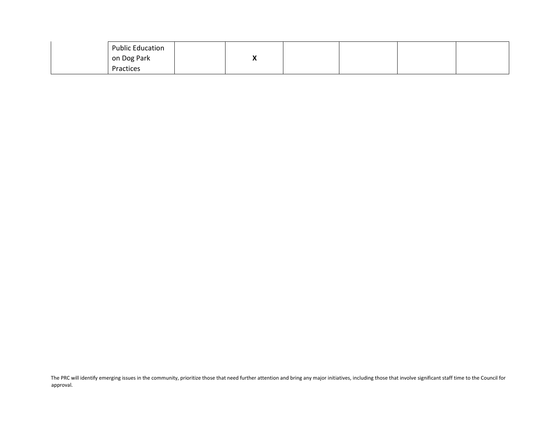| on Dog Park | <b>Public Education</b> | ., |  |  |
|-------------|-------------------------|----|--|--|
| Practices   |                         |    |  |  |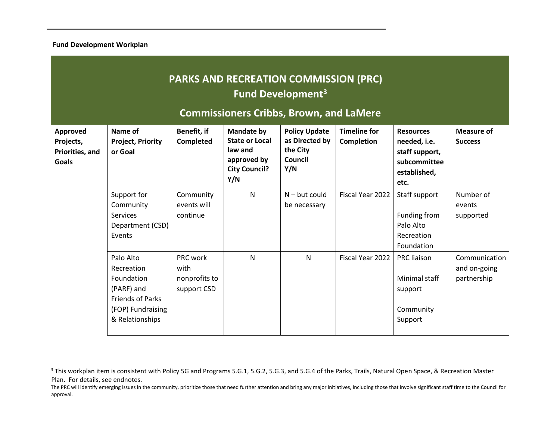**Fund Development Workplan**

# **PARKS AND RECREATION COMMISSION (PRC) Fund Development<sup>3</sup>**

## **Commissioners Cribbs, Brown, and LaMere**

| Approved<br>Projects,<br>Priorities, and<br><b>Goals</b> | Name of<br><b>Project, Priority</b><br>or Goal                                                                         | Benefit, if<br><b>Completed</b>                  | <b>Mandate by</b><br><b>State or Local</b><br>law and<br>approved by<br><b>City Council?</b><br>Y/N | <b>Policy Update</b><br>as Directed by<br>the City<br>Council<br>Y/N | <b>Timeline for</b><br><b>Completion</b> | <b>Resources</b><br>needed, i.e.<br>staff support,<br>subcommittee<br>established,<br>etc. | <b>Measure of</b><br><b>Success</b>          |
|----------------------------------------------------------|------------------------------------------------------------------------------------------------------------------------|--------------------------------------------------|-----------------------------------------------------------------------------------------------------|----------------------------------------------------------------------|------------------------------------------|--------------------------------------------------------------------------------------------|----------------------------------------------|
|                                                          | Support for<br>Community<br><b>Services</b><br>Department (CSD)<br>Events                                              | Community<br>events will<br>continue             | N                                                                                                   | $N - but could$<br>be necessary                                      | Fiscal Year 2022                         | Staff support<br>Funding from<br>Palo Alto<br>Recreation<br>Foundation                     | Number of<br>events<br>supported             |
|                                                          | Palo Alto<br>Recreation<br>Foundation<br>(PARF) and<br><b>Friends of Parks</b><br>(FOP) Fundraising<br>& Relationships | PRC work<br>with<br>nonprofits to<br>support CSD | $\mathsf{N}$                                                                                        | $\mathsf{N}$                                                         | Fiscal Year 2022                         | PRC liaison<br>Minimal staff<br>support<br>Community<br>Support                            | Communication<br>and on-going<br>partnership |

<sup>&</sup>lt;sup>3</sup> This workplan item is consistent with Policy 5G and Programs 5.G.1, 5.G.2, 5.G.3, and 5.G.4 of the Parks, Trails, Natural Open Space, & Recreation Master Plan. For details, see endnotes.

The PRC will identify emerging issues in the community, prioritize those that need further attention and bring any major initiatives, including those that involve significant staff time to the Council for approval.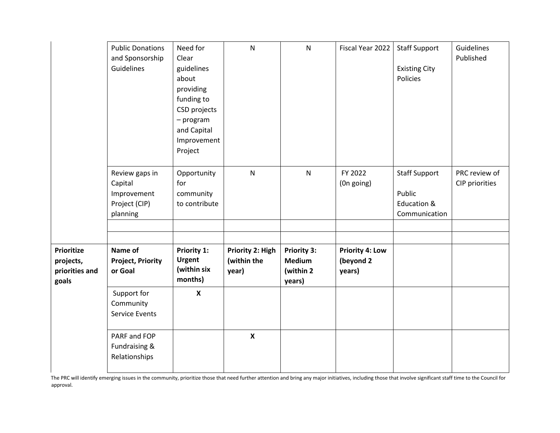|                                                           | <b>Public Donations</b><br>and Sponsorship<br>Guidelines              | Need for<br>Clear<br>guidelines<br>about<br>providing<br>funding to<br>CSD projects<br>- program<br>and Capital<br>Improvement<br>Project | $\mathsf{N}$                             | $\mathsf{N}$                                               | Fiscal Year 2022                              | <b>Staff Support</b><br><b>Existing City</b><br>Policies       | Guidelines<br>Published         |
|-----------------------------------------------------------|-----------------------------------------------------------------------|-------------------------------------------------------------------------------------------------------------------------------------------|------------------------------------------|------------------------------------------------------------|-----------------------------------------------|----------------------------------------------------------------|---------------------------------|
|                                                           | Review gaps in<br>Capital<br>Improvement<br>Project (CIP)<br>planning | Opportunity<br>for<br>community<br>to contribute                                                                                          | ${\sf N}$                                | $\mathsf{N}$                                               | FY 2022<br>(On going)                         | <b>Staff Support</b><br>Public<br>Education &<br>Communication | PRC review of<br>CIP priorities |
| <b>Prioritize</b><br>projects,<br>priorities and<br>goals | Name of<br><b>Project, Priority</b><br>or Goal                        | <b>Priority 1:</b><br><b>Urgent</b><br>(within six<br>months)                                                                             | Priority 2: High<br>(within the<br>year) | <b>Priority 3:</b><br><b>Medium</b><br>(within 2<br>years) | <b>Priority 4: Low</b><br>(beyond 2<br>years) |                                                                |                                 |
|                                                           | Support for<br>Community<br><b>Service Events</b>                     | $\boldsymbol{X}$                                                                                                                          |                                          |                                                            |                                               |                                                                |                                 |
|                                                           | PARF and FOP<br>Fundraising &<br>Relationships                        |                                                                                                                                           | $\mathbf{x}$                             |                                                            |                                               |                                                                |                                 |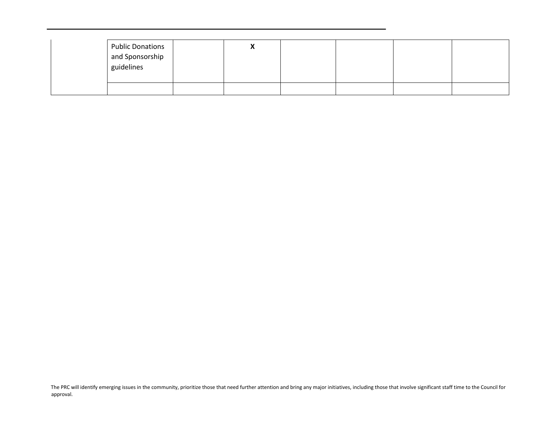| <b>Public Donations</b><br>and Sponsorship<br>guidelines | ,, |  |  |
|----------------------------------------------------------|----|--|--|
|                                                          |    |  |  |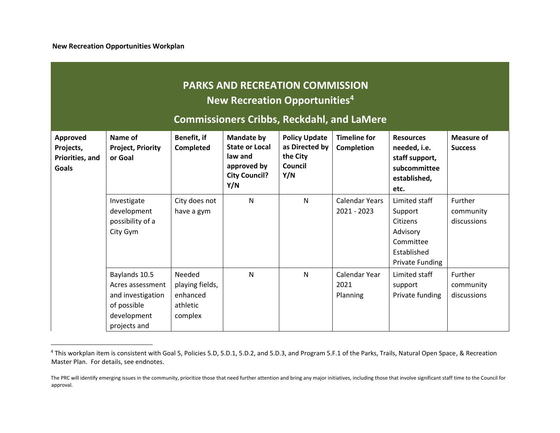|                                                                 | <b>PARKS AND RECREATION COMMISSION</b><br>New Recreation Opportunities <sup>4</sup><br><b>Commissioners Cribbs, Reckdahl, and LaMere</b> |                                                              |                                                                                                     |                                                                      |                                          |                                                                                                        |                                            |  |  |  |  |
|-----------------------------------------------------------------|------------------------------------------------------------------------------------------------------------------------------------------|--------------------------------------------------------------|-----------------------------------------------------------------------------------------------------|----------------------------------------------------------------------|------------------------------------------|--------------------------------------------------------------------------------------------------------|--------------------------------------------|--|--|--|--|
| <b>Approved</b><br>Projects,<br>Priorities, and<br><b>Goals</b> | Name of<br><b>Project, Priority</b><br>or Goal                                                                                           | Benefit, if<br><b>Completed</b>                              | <b>Mandate by</b><br><b>State or Local</b><br>law and<br>approved by<br><b>City Council?</b><br>Y/N | <b>Policy Update</b><br>as Directed by<br>the City<br>Council<br>Y/N | <b>Timeline for</b><br><b>Completion</b> | <b>Resources</b><br>needed, i.e.<br>staff support,<br>subcommittee<br>established,<br>etc.             | <b>Measure of</b><br><b>Success</b>        |  |  |  |  |
|                                                                 | Investigate<br>development<br>possibility of a<br>City Gym                                                                               | City does not<br>have a gym                                  | $\mathsf{N}$                                                                                        | N                                                                    | <b>Calendar Years</b><br>$2021 - 2023$   | Limited staff<br>Support<br>Citizens<br>Advisory<br>Committee<br>Established<br><b>Private Funding</b> | Further<br>community<br>discussions        |  |  |  |  |
|                                                                 | Baylands 10.5<br>Acres assessment<br>and investigation<br>of possible<br>development<br>projects and                                     | Needed<br>playing fields,<br>enhanced<br>athletic<br>complex | N                                                                                                   | N                                                                    | Calendar Year<br>2021<br>Planning        | Limited staff<br>support<br>Private funding                                                            | <b>Further</b><br>community<br>discussions |  |  |  |  |

<sup>&</sup>lt;sup>4</sup> This workplan item is consistent with Goal 5, Policies 5.D, 5.D.1, 5.D.2, and 5.D.3, and Program 5.F.1 of the Parks, Trails, Natural Open Space, & Recreation Master Plan. For details, see endnotes.

The PRC will identify emerging issues in the community, prioritize those that need further attention and bring any major initiatives, including those that involve significant staff time to the Council for approval.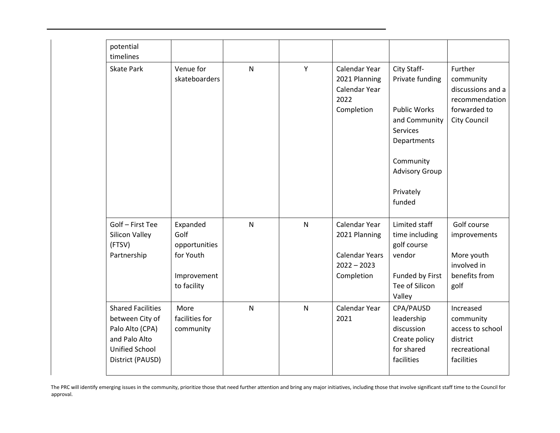| potential<br>timelines                                                                                                |                                                                              |              |              |                                                                                        |                                                                                                                                                                       |                                                                                             |
|-----------------------------------------------------------------------------------------------------------------------|------------------------------------------------------------------------------|--------------|--------------|----------------------------------------------------------------------------------------|-----------------------------------------------------------------------------------------------------------------------------------------------------------------------|---------------------------------------------------------------------------------------------|
| <b>Skate Park</b>                                                                                                     | Venue for<br>skateboarders                                                   | $\mathsf{N}$ | Y            | Calendar Year<br>2021 Planning<br>Calendar Year<br>2022<br>Completion                  | City Staff-<br>Private funding<br><b>Public Works</b><br>and Community<br><b>Services</b><br>Departments<br>Community<br><b>Advisory Group</b><br>Privately<br>funded | Further<br>community<br>discussions and a<br>recommendation<br>forwarded to<br>City Council |
| Golf - First Tee<br>Silicon Valley<br>(FTSV)<br>Partnership                                                           | Expanded<br>Golf<br>opportunities<br>for Youth<br>Improvement<br>to facility | $\mathsf{N}$ | ${\sf N}$    | Calendar Year<br>2021 Planning<br><b>Calendar Years</b><br>$2022 - 2023$<br>Completion | Limited staff<br>time including<br>golf course<br>vendor<br>Funded by First<br>Tee of Silicon<br>Valley                                                               | Golf course<br>improvements<br>More youth<br>involved in<br>benefits from<br>golf           |
| <b>Shared Facilities</b><br>between City of<br>Palo Alto (CPA)<br>and Palo Alto<br>Unified School<br>District (PAUSD) | More<br>facilities for<br>community                                          | $\mathsf{N}$ | $\mathsf{N}$ | Calendar Year<br>2021                                                                  | CPA/PAUSD<br>leadership<br>discussion<br>Create policy<br>for shared<br>facilities                                                                                    | Increased<br>community<br>access to school<br>district<br>recreational<br>facilities        |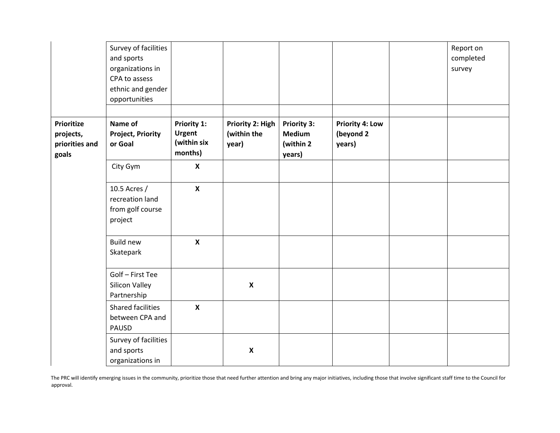|                                                           | Survey of facilities<br>and sports<br>organizations in<br>CPA to assess<br>ethnic and gender<br>opportunities |                                                        |                                          |                                                            |                                               | Report on<br>completed<br>survey |
|-----------------------------------------------------------|---------------------------------------------------------------------------------------------------------------|--------------------------------------------------------|------------------------------------------|------------------------------------------------------------|-----------------------------------------------|----------------------------------|
| <b>Prioritize</b><br>projects,<br>priorities and<br>goals | Name of<br><b>Project, Priority</b><br>or Goal                                                                | Priority 1:<br><b>Urgent</b><br>(within six<br>months) | Priority 2: High<br>(within the<br>year) | <b>Priority 3:</b><br><b>Medium</b><br>(within 2<br>years) | <b>Priority 4: Low</b><br>(beyond 2<br>years) |                                  |
|                                                           | City Gym                                                                                                      | $\mathbf x$                                            |                                          |                                                            |                                               |                                  |
|                                                           | 10.5 Acres /<br>recreation land<br>from golf course<br>project                                                | $\boldsymbol{\mathsf{X}}$                              |                                          |                                                            |                                               |                                  |
|                                                           | <b>Build new</b><br>Skatepark                                                                                 | $\boldsymbol{\mathsf{X}}$                              |                                          |                                                            |                                               |                                  |
|                                                           | Golf - First Tee<br>Silicon Valley<br>Partnership                                                             |                                                        | $\boldsymbol{\mathsf{x}}$                |                                                            |                                               |                                  |
|                                                           | Shared facilities<br>between CPA and<br><b>PAUSD</b>                                                          | $\boldsymbol{\mathsf{X}}$                              |                                          |                                                            |                                               |                                  |
|                                                           | Survey of facilities<br>and sports<br>organizations in                                                        |                                                        | $\boldsymbol{\mathsf{x}}$                |                                                            |                                               |                                  |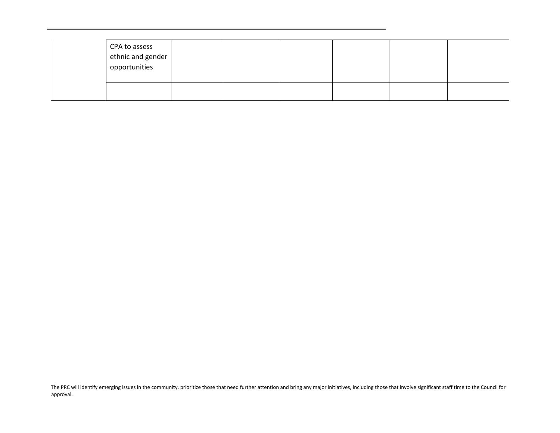| CPA to assess<br>ethnic and gender<br>opportunities |  |  |  |
|-----------------------------------------------------|--|--|--|
|                                                     |  |  |  |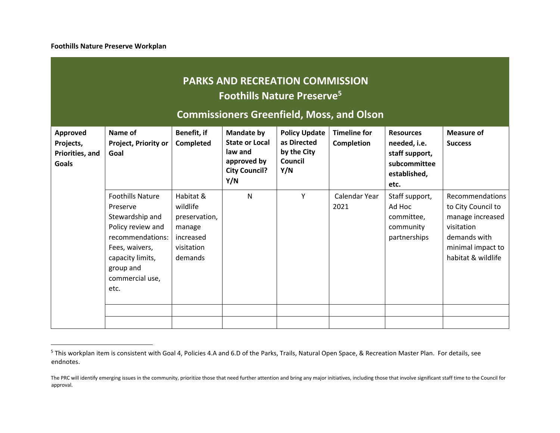**Foothills Nature Preserve Workplan**

# **PARKS AND RECREATION COMMISSION Foothills Nature Preserve<sup>5</sup>**

## **Commissioners Greenfield, Moss, and Olson**

| Approved<br>Projects,<br>Priorities, and<br><b>Goals</b> | Name of<br><b>Project, Priority or</b><br>Goal                                                                                                                                | Benefit, if<br>Completed                                                               | <b>Mandate by</b><br><b>State or Local</b><br>law and<br>approved by<br><b>City Council?</b><br>Y/N | <b>Policy Update</b><br>as Directed<br>by the City<br>Council<br>Y/N | <b>Timeline for</b><br>Completion | <b>Resources</b><br>needed, i.e.<br>staff support,<br>subcommittee<br>established,<br>etc. | <b>Measure of</b><br><b>Success</b>                                                                                                |
|----------------------------------------------------------|-------------------------------------------------------------------------------------------------------------------------------------------------------------------------------|----------------------------------------------------------------------------------------|-----------------------------------------------------------------------------------------------------|----------------------------------------------------------------------|-----------------------------------|--------------------------------------------------------------------------------------------|------------------------------------------------------------------------------------------------------------------------------------|
|                                                          | <b>Foothills Nature</b><br>Preserve<br>Stewardship and<br>Policy review and<br>recommendations:<br>Fees, waivers,<br>capacity limits,<br>group and<br>commercial use,<br>etc. | Habitat &<br>wildlife<br>preservation,<br>manage<br>increased<br>visitation<br>demands | $\mathsf{N}$                                                                                        | Υ                                                                    | Calendar Year<br>2021             | Staff support,<br>Ad Hoc<br>committee,<br>community<br>partnerships                        | Recommendations<br>to City Council to<br>manage increased<br>visitation<br>demands with<br>minimal impact to<br>habitat & wildlife |

<sup>&</sup>lt;sup>5</sup> This workplan item is consistent with Goal 4, Policies 4.A and 6.D of the Parks, Trails, Natural Open Space, & Recreation Master Plan. For details, see endnotes.

The PRC will identify emerging issues in the community, prioritize those that need further attention and bring any major initiatives, including those that involve significant staff time to the Council for approval.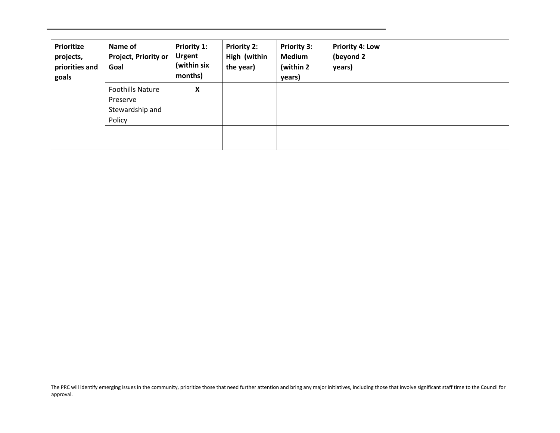| <b>Prioritize</b><br>projects,<br>priorities and<br>goals | Name of<br><b>Project, Priority or</b><br>Goal                   | Priority 1:<br><b>Urgent</b><br>(within six<br>months) | <b>Priority 2:</b><br>High (within<br>the year) | <b>Priority 3:</b><br><b>Medium</b><br>(within 2)<br>years) | <b>Priority 4: Low</b><br>(beyond 2<br>years) |  |
|-----------------------------------------------------------|------------------------------------------------------------------|--------------------------------------------------------|-------------------------------------------------|-------------------------------------------------------------|-----------------------------------------------|--|
|                                                           | <b>Foothills Nature</b><br>Preserve<br>Stewardship and<br>Policy | X                                                      |                                                 |                                                             |                                               |  |
|                                                           |                                                                  |                                                        |                                                 |                                                             |                                               |  |
|                                                           |                                                                  |                                                        |                                                 |                                                             |                                               |  |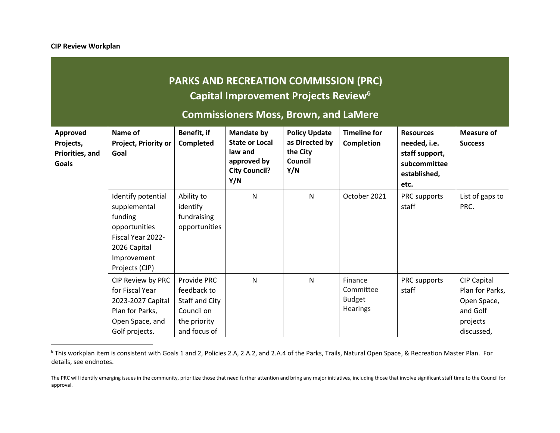# **PARKS AND RECREATION COMMISSION (PRC) Capital Improvement Projects Review<sup>6</sup>**

**Commissioners Moss, Brown, and LaMere**

| Approved<br>Projects,<br>Priorities, and<br><b>Goals</b> | Name of<br><b>Project, Priority or</b><br>Goal                                                                                       | Benefit, if<br>Completed                                                                   | <b>Mandate by</b><br><b>State or Local</b><br>law and<br>approved by<br><b>City Council?</b><br>Y/N | <b>Policy Update</b><br>as Directed by<br>the City<br>Council<br>Y/N | <b>Timeline for</b><br><b>Completion</b>          | <b>Resources</b><br>needed, i.e.<br>staff support,<br>subcommittee<br>established,<br>etc. | <b>Measure of</b><br><b>Success</b>                                                        |
|----------------------------------------------------------|--------------------------------------------------------------------------------------------------------------------------------------|--------------------------------------------------------------------------------------------|-----------------------------------------------------------------------------------------------------|----------------------------------------------------------------------|---------------------------------------------------|--------------------------------------------------------------------------------------------|--------------------------------------------------------------------------------------------|
|                                                          | Identify potential<br>supplemental<br>funding<br>opportunities<br>Fiscal Year 2022-<br>2026 Capital<br>Improvement<br>Projects (CIP) | Ability to<br>identify<br>fundraising<br>opportunities                                     | $\mathsf{N}$                                                                                        | $\mathsf{N}$                                                         | October 2021                                      | PRC supports<br>staff                                                                      | List of gaps to<br>PRC.                                                                    |
|                                                          | CIP Review by PRC<br>for Fiscal Year<br>2023-2027 Capital<br>Plan for Parks,<br>Open Space, and<br>Golf projects.                    | Provide PRC<br>feedback to<br>Staff and City<br>Council on<br>the priority<br>and focus of | N                                                                                                   | N                                                                    | Finance<br>Committee<br><b>Budget</b><br>Hearings | PRC supports<br>staff                                                                      | <b>CIP Capital</b><br>Plan for Parks,<br>Open Space,<br>and Golf<br>projects<br>discussed, |

<sup>&</sup>lt;sup>6</sup> This workplan item is consistent with Goals 1 and 2, Policies 2.A, 2.A.2, and 2.A.4 of the Parks, Trails, Natural Open Space, & Recreation Master Plan. For details, see endnotes.

The PRC will identify emerging issues in the community, prioritize those that need further attention and bring any major initiatives, including those that involve significant staff time to the Council for approval.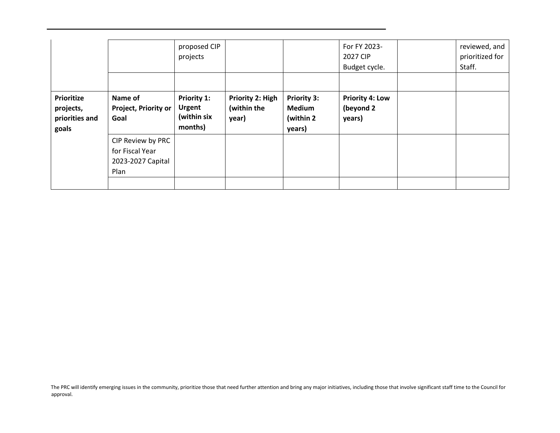|                                                           |                                                                   | proposed CIP<br>projects                               |                                                 |                                                             | For FY 2023-<br>2027 CIP<br>Budget cycle.     | reviewed, and<br>prioritized for<br>Staff. |
|-----------------------------------------------------------|-------------------------------------------------------------------|--------------------------------------------------------|-------------------------------------------------|-------------------------------------------------------------|-----------------------------------------------|--------------------------------------------|
|                                                           |                                                                   |                                                        |                                                 |                                                             |                                               |                                            |
| <b>Prioritize</b><br>projects,<br>priorities and<br>goals | Name of<br>Project, Priority or<br>Goal                           | Priority 1:<br><b>Urgent</b><br>(within six<br>months) | <b>Priority 2: High</b><br>(within the<br>year) | <b>Priority 3:</b><br><b>Medium</b><br>(within 2)<br>years) | <b>Priority 4: Low</b><br>(beyond 2<br>years) |                                            |
|                                                           | CIP Review by PRC<br>for Fiscal Year<br>2023-2027 Capital<br>Plan |                                                        |                                                 |                                                             |                                               |                                            |
|                                                           |                                                                   |                                                        |                                                 |                                                             |                                               |                                            |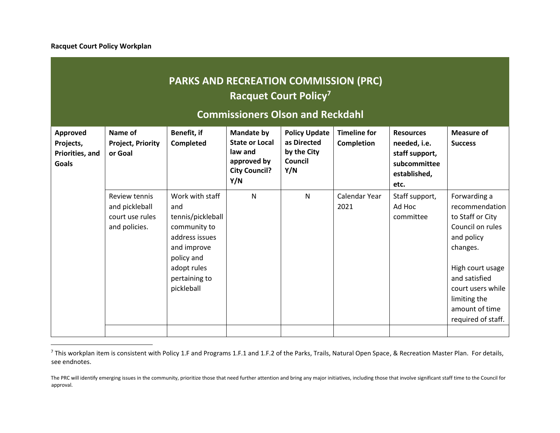**Racquet Court Policy Workplan**

# **PARKS AND RECREATION COMMISSION (PRC) Racquet Court Policy<sup>7</sup>**

### **Commissioners Olson and Reckdahl**

| Approved<br>Projects,<br>Priorities, and<br><b>Goals</b> | Name of<br><b>Project, Priority</b><br>or Goal                      | Benefit, if<br>Completed                                                                                                                                 | Mandate by<br><b>State or Local</b><br>law and<br>approved by<br><b>City Council?</b><br>Y/N | <b>Policy Update</b><br>as Directed<br>by the City<br>Council<br>Y/N | <b>Timeline for</b><br><b>Completion</b> | <b>Resources</b><br>needed, i.e.<br>staff support,<br>subcommittee<br>established,<br>etc. | <b>Measure of</b><br><b>Success</b>                                                                                                                                                                                |
|----------------------------------------------------------|---------------------------------------------------------------------|----------------------------------------------------------------------------------------------------------------------------------------------------------|----------------------------------------------------------------------------------------------|----------------------------------------------------------------------|------------------------------------------|--------------------------------------------------------------------------------------------|--------------------------------------------------------------------------------------------------------------------------------------------------------------------------------------------------------------------|
|                                                          | Review tennis<br>and pickleball<br>court use rules<br>and policies. | Work with staff<br>and<br>tennis/pickleball<br>community to<br>address issues<br>and improve<br>policy and<br>adopt rules<br>pertaining to<br>pickleball | $\mathsf{N}$                                                                                 | $\mathsf{N}$                                                         | Calendar Year<br>2021                    | Staff support,<br>Ad Hoc<br>committee                                                      | Forwarding a<br>recommendation<br>to Staff or City<br>Council on rules<br>and policy<br>changes.<br>High court usage<br>and satisfied<br>court users while<br>limiting the<br>amount of time<br>required of staff. |

<sup>&</sup>lt;sup>7</sup> This workplan item is consistent with Policy 1.F and Programs 1.F.1 and 1.F.2 of the Parks, Trails, Natural Open Space, & Recreation Master Plan. For details, see endnotes.

The PRC will identify emerging issues in the community, prioritize those that need further attention and bring any major initiatives, including those that involve significant staff time to the Council for approval.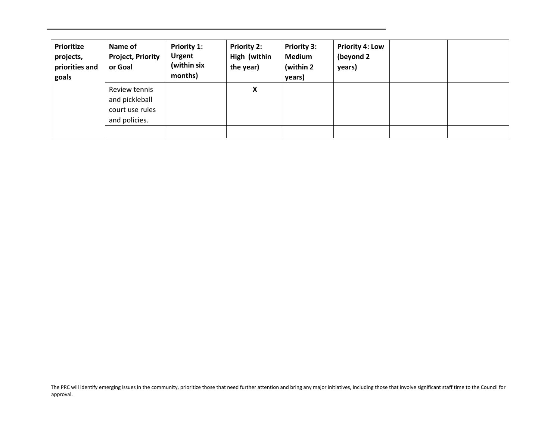| <b>Prioritize</b><br>projects,<br>priorities and<br>goals | Name of<br><b>Project, Priority</b><br>or Goal                      | <b>Priority 1:</b><br><b>Urgent</b><br>(within six<br>months) | <b>Priority 2:</b><br>High (within<br>the year) | <b>Priority 3:</b><br><b>Medium</b><br>(within 2)<br>years) | <b>Priority 4: Low</b><br>(beyond 2<br>years) |  |
|-----------------------------------------------------------|---------------------------------------------------------------------|---------------------------------------------------------------|-------------------------------------------------|-------------------------------------------------------------|-----------------------------------------------|--|
|                                                           | Review tennis<br>and pickleball<br>court use rules<br>and policies. |                                                               | X                                               |                                                             |                                               |  |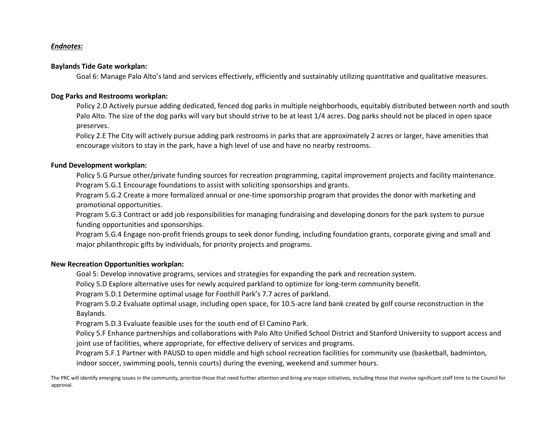### *Endnotes:*

### **Baylands Tide Gate workplan:**

Goal 6: Manage Palo Alto's land and services effectively, efficiently and sustainably utilizing quantitative and qualitative measures.

### **Dog Parks and Restrooms workplan:**

Policy 2.D Actively pursue adding dedicated, fenced dog parks in multiple neighborhoods, equitably distributed between north and south Palo Alto. The size of the dog parks will vary but should strive to be at least 1/4 acres. Dog parks should not be placed in open space preserves.

Policy 2.E The City will actively pursue adding park restrooms in parks that are approximately 2 acres or larger, have amenities that encourage visitors to stay in the park, have a high level of use and have no nearby restrooms.

### **Fund Development workplan:**

Policy 5.G Pursue other/private funding sources for recreation programming, capital improvement projects and facility maintenance. Program 5.G.1 Encourage foundations to assist with soliciting sponsorships and grants.

Program 5.G.2 Create a more formalized annual or one-time sponsorship program that provides the donor with marketing and promotional opportunities.

Program 5.G.3 Contract or add job responsibilities for managing fundraising and developing donors for the park system to pursue funding opportunities and sponsorships.

Program 5.G.4 Engage non-profit friends groups to seek donor funding, including foundation grants, corporate giving and small and major philanthropic gifts by individuals, for priority projects and programs.

### **New Recreation Opportunities workplan:**

Goal 5: Develop innovative programs, services and strategies for expanding the park and recreation system.

Policy 5.D Explore alternative uses for newly acquired parkland to optimize for long-term community benefit.

Program 5.D.1 Determine optimal usage for Foothill Park's 7.7 acres of parkland.

Program 5.D.2 Evaluate optimal usage, including open space, for 10.5-acre land bank created by golf course reconstruction in the Baylands.

Program 5.D.3 Evaluate feasible uses for the south end of El Camino Park.

Policy 5.F Enhance partnerships and collaborations with Palo Alto Unified School District and Stanford University to support access and joint use of facilities, where appropriate, for effective delivery of services and programs.

Program 5.F.1 Partner with PAUSD to open middle and high school recreation facilities for community use (basketball, badminton, indoor soccer, swimming pools, tennis courts) during the evening, weekend and summer hours.